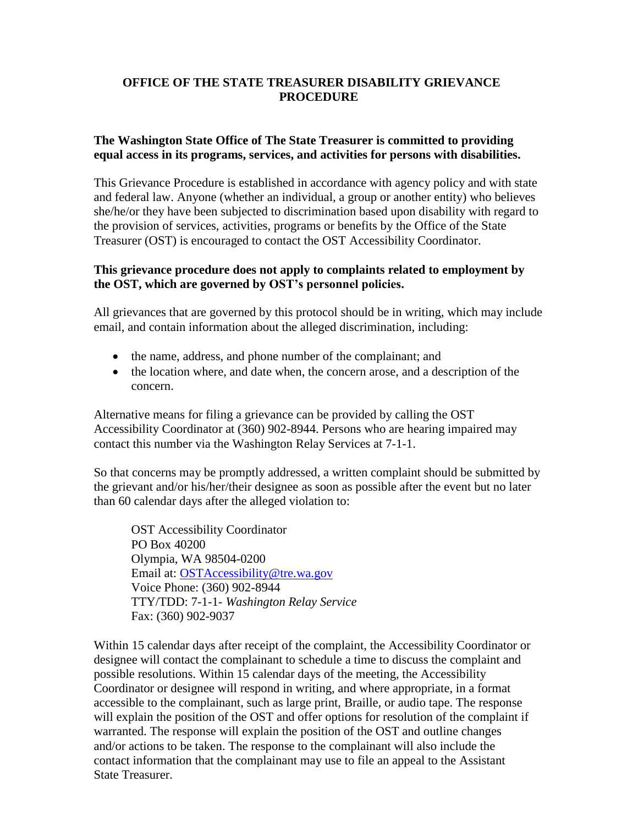## **OFFICE OF THE STATE TREASURER DISABILITY GRIEVANCE PROCEDURE**

## **The Washington State Office of The State Treasurer is committed to providing equal access in its programs, services, and activities for persons with disabilities.**

This Grievance Procedure is established in accordance with agency policy and with state and federal law. Anyone (whether an individual, a group or another entity) who believes she/he/or they have been subjected to discrimination based upon disability with regard to the provision of services, activities, programs or benefits by the Office of the State Treasurer (OST) is encouraged to contact the OST Accessibility Coordinator.

## **This grievance procedure does not apply to complaints related to employment by the OST, which are governed by OST's personnel policies.**

All grievances that are governed by this protocol should be in writing, which may include email, and contain information about the alleged discrimination, including:

- the name, address, and phone number of the complainant; and
- the location where, and date when, the concern arose, and a description of the concern.

Alternative means for filing a grievance can be provided by calling the OST Accessibility Coordinator at (360) 902-8944. Persons who are hearing impaired may contact this number via the Washington Relay Services at 7-1-1.

So that concerns may be promptly addressed, a written complaint should be submitted by the grievant and/or his/her/their designee as soon as possible after the event but no later than 60 calendar days after the alleged violation to:

OST Accessibility Coordinator PO Box 40200 Olympia, WA 98504-0200 Email at: [OSTAccessibility@tre.wa.gov](mailto:OSTAccessibility@tre.wa.gov) Voice Phone: (360) 902-8944 TTY/TDD: 7-1-1- *Washington Relay Service* Fax: (360) 902-9037

Within 15 calendar days after receipt of the complaint, the Accessibility Coordinator or designee will contact the complainant to schedule a time to discuss the complaint and possible resolutions. Within 15 calendar days of the meeting, the Accessibility Coordinator or designee will respond in writing, and where appropriate, in a format accessible to the complainant, such as large print, Braille, or audio tape. The response will explain the position of the OST and offer options for resolution of the complaint if warranted. The response will explain the position of the OST and outline changes and/or actions to be taken. The response to the complainant will also include the contact information that the complainant may use to file an appeal to the Assistant State Treasurer.